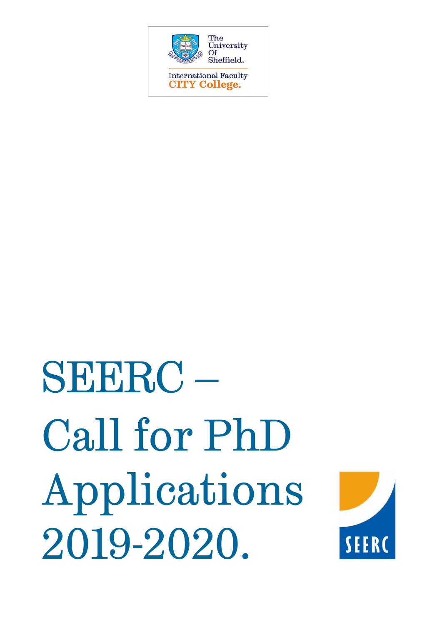

# SEERC – Call for PhD Applications 2019-2020.

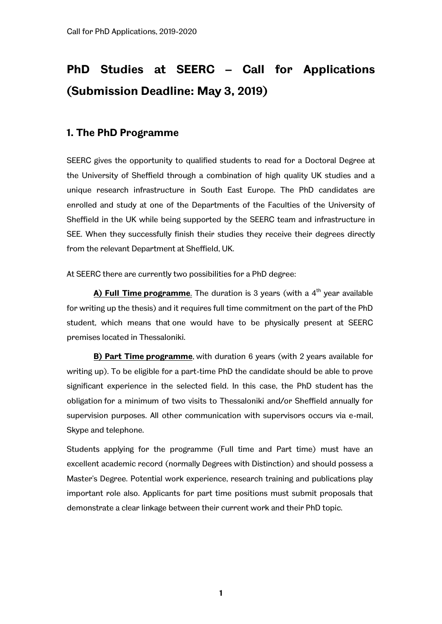# **PhD Studies at SEERC – Call for Applications (Submission Deadline: May 3, 2019)**

# **1. The PhD Programme**

SEERC gives the opportunity to qualified students to read for a Doctoral Degree at the University of Sheffield through a combination of high quality UK studies and a unique research infrastructure in South East Europe. The PhD candidates are enrolled and study at one of the Departments of the Faculties of the University of Sheffield in the UK while being supported by the SEERC team and infrastructure in SEE. When they successfully finish their studies they receive their degrees directly from the relevant Department at Sheffield, UK.

At SEERC there are currently two possibilities for a PhD degree:

**A) Full Time programme**. The duration is 3 years (with a 4<sup>th</sup> year available for writing up the thesis) and it requires full time commitment on the part of the PhD student, which means that one would have to be physically present at SEERC premises located in Thessaloniki.

**B) Part Time programme**, with duration 6 years (with 2 years available for writing up). To be eligible for a part-time PhD the candidate should be able to prove significant experience in the selected field. In this case, the PhD student has the obligation for a minimum of two visits to Thessaloniki and/or Sheffield annually for supervision purposes. All other communication with supervisors occurs via e-mail, Skype and telephone.

Students applying for the programme (Full time and Part time) must have an excellent academic record (normally Degrees with Distinction) and should possess a Master's Degree. Potential work experience, research training and publications play important role also. Applicants for part time positions must submit proposals that demonstrate a clear linkage between their current work and their PhD topic.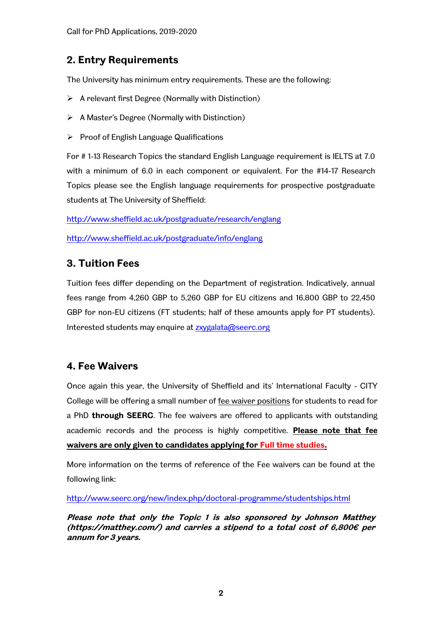# **2. Entry Requirements**

The University has minimum entry requirements. These are the following:

- $\triangleright$  A relevant first Degree (Normally with Distinction)
- $\triangleright$  A Master's Degree (Normally with Distinction)
- $\triangleright$  Proof of English Language Qualifications

For # 1-13 Research Topics the standard English Language requirement is IELTS at 7.0 with a minimum of 6.0 in each component or equivalent. For the #14-17 Research Topics please see the English language requirements for prospective postgraduate students at The University of Sheffield:

<http://www.sheffield.ac.uk/postgraduate/research/englang>

<http://www.sheffield.ac.uk/postgraduate/info/englang>

# **3. Tuition Fees**

Tuition fees differ depending on the Department of registration. Indicatively, annual fees range from 4,260 GBP to 5,260 GBP for EU citizens and 16,800 GBP to 22,450 GBP for non-EU citizens (FT students; half of these amounts apply for PT students). Interested students may enquire at [zxygalata@seerc.org](mailto:zxygalata@seerc.org)

# **4. Fee Waivers**

Once again this year, the University of Sheffield and its' International Faculty - CITY College will be offering a small number of fee waiver positions for students to read for a PhD **through SEERC**. The fee waivers are offered to applicants with outstanding academic records and the process is highly competitive. **Please note that fee waivers are only given to candidates applying for Full time studies.**

More information on the terms of reference of the Fee waivers can be found at the following link:

<http://www.seerc.org/new/index.php/doctoral-programme/studentships.html>

**Please note that only the Topic 1 is also sponsored by Johnson Matthey [\(https://matthey.com/](https://matthey.com/)) and carries a stipend to a total cost of 6,800€ per annum for 3 years.**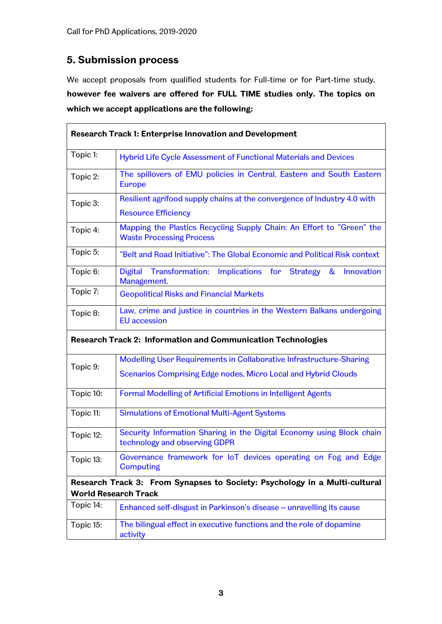# **5. Submission process**

We accept proposals from qualified students for Full-time or for Part-time study, **however fee waivers are offered for FULL TIME studies only. The topics on which we accept applications are the following:**

| Research Track 1: Enterprise Innovation and Development                                                   |                                                                                                                                       |
|-----------------------------------------------------------------------------------------------------------|---------------------------------------------------------------------------------------------------------------------------------------|
| Topic 1:                                                                                                  | Hybrid Life Cycle Assessment of Functional Materials and Devices                                                                      |
| Topic 2:                                                                                                  | The spillovers of EMU policies in Central, Eastern and South Eastern<br><b>Europe</b>                                                 |
| Topic 3:                                                                                                  | Resilient agrifood supply chains at the convergence of Industry 4.0 with<br><b>Resource Efficiency</b>                                |
| Topic 4:                                                                                                  | Mapping the Plastics Recycling Supply Chain: An Effort to "Green" the<br><b>Waste Processing Process</b>                              |
| Topic 5:                                                                                                  | "Belt and Road Initiative": The Global Economic and Political Risk context                                                            |
| Topic 6:                                                                                                  | Transformation: Implications for Strategy<br><b>Digital</b><br>&<br>Innovation<br>Management.                                         |
| Topic 7:                                                                                                  | <b>Geopolitical Risks and Financial Markets</b>                                                                                       |
| Topic 8:                                                                                                  | Law, crime and justice in countries in the Western Balkans undergoing<br><b>EU</b> accession                                          |
| Research Track 2: Information and Communication Technologies                                              |                                                                                                                                       |
| Topic 9:                                                                                                  | Modelling User Requirements in Collaborative Infrastructure-Sharing<br>Scenarios Comprising Edge nodes, Micro Local and Hybrid Clouds |
| Topic 10:                                                                                                 | Formal Modelling of Artificial Emotions in Intelligent Agents                                                                         |
| Topic 11:                                                                                                 | <b>Simulations of Emotional Multi-Agent Systems</b>                                                                                   |
| Topic 12:                                                                                                 | Security Information Sharing in the Digital Economy using Block chain<br>technology and observing GDPR                                |
| Topic 13:                                                                                                 | Governance framework for loT devices operating on Fog and Edge<br><b>Computing</b>                                                    |
| Research Track 3: From Synapses to Society: Psychology in a Multi-cultural<br><b>World Research Track</b> |                                                                                                                                       |
| Topic 14:                                                                                                 | Enhanced self-disgust in Parkinson's disease - unravelling its cause                                                                  |
| Topic 15:                                                                                                 | The bilingual effect in executive functions and the role of dopamine<br>activity                                                      |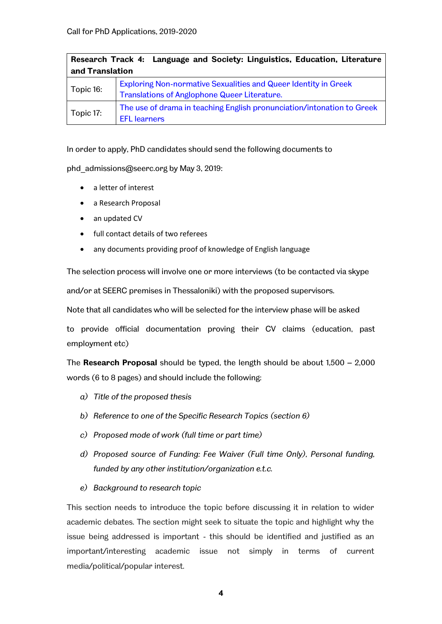| Research Track 4: Language and Society: Linguistics, Education, Literature |                                                                                                                        |  |
|----------------------------------------------------------------------------|------------------------------------------------------------------------------------------------------------------------|--|
| and Translation                                                            |                                                                                                                        |  |
| Topic 16:                                                                  | <b>Exploring Non-normative Sexualities and Queer Identity in Greek</b><br>Translations of Anglophone Queer Literature. |  |
| Topic 17:                                                                  | The use of drama in teaching English pronunciation/intonation to Greek<br><b>EFL</b> learners                          |  |

In order to apply, PhD candidates should send the following documents to

phd\_admissions@seerc.org by May 3, 2019:

- a letter of interest
- a Research Proposal
- an updated CV
- full contact details of two referees
- any documents providing proof of knowledge of English language

The selection process will involve one or more interviews (to be contacted via skype

and/or at SEERC premises in Thessaloniki) with the proposed supervisors.

Note that all candidates who will be selected for the interview phase will be asked

to provide official documentation proving their CV claims (education, past employment etc)

The **Research Proposal** should be typed, the length should be about 1,500 – 2,000 words (6 to 8 pages) and should include the following:

- *a) Title of the proposed thesis*
- *b) Reference to one of the Specific Research Topics (section 6)*
- *c) Proposed mode of work (full time or part time)*
- *d) Proposed source of Funding: Fee Waiver (Full time Only), Personal funding, funded by any other institution/organization e.t.c.*
- *e) Background to research topic*

This section needs to introduce the topic before discussing it in relation to wider academic debates. The section might seek to situate the topic and highlight why the issue being addressed is important - this should be identified and justified as an important/interesting academic issue not simply in terms of current media/political/popular interest.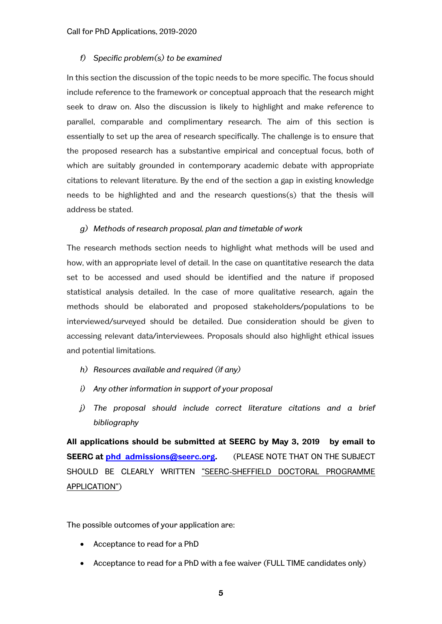#### *f) Specific problem(s) to be examined*

In this section the discussion of the topic needs to be more specific. The focus should include reference to the framework or conceptual approach that the research might seek to draw on. Also the discussion is likely to highlight and make reference to parallel, comparable and complimentary research. The aim of this section is essentially to set up the area of research specifically. The challenge is to ensure that the proposed research has a substantive empirical and conceptual focus, both of which are suitably grounded in contemporary academic debate with appropriate citations to relevant literature. By the end of the section a gap in existing knowledge needs to be highlighted and and the research questions(s) that the thesis will address be stated.

#### *g) Methods of research proposal, plan and timetable of work*

The research methods section needs to highlight what methods will be used and how, with an appropriate level of detail. In the case on quantitative research the data set to be accessed and used should be identified and the nature if proposed statistical analysis detailed. In the case of more qualitative research, again the methods should be elaborated and proposed stakeholders/populations to be interviewed/surveyed should be detailed. Due consideration should be given to accessing relevant data/interviewees. Proposals should also highlight ethical issues and potential limitations.

- *h) Resources available and required (if any)*
- *i) Any other information in support of your proposal*
- *j) The proposal should include correct literature citations and a brief bibliography*

**All applications should be submitted at SEERC by May 3, 2019 by email to SEERC at [phd\\_admissions@seerc.org.](mailto:phd_admissions@seerc.org)** (PLEASE NOTE THAT ON THE SUBJECT SHOULD BE CLEARLY WRITTEN "SEERC-SHEFFIELD DOCTORAL PROGRAMME APPLICATION")

The possible outcomes of your application are:

- Acceptance to read for a PhD
- Acceptance to read for a PhD with a fee waiver (FULL TIME candidates only)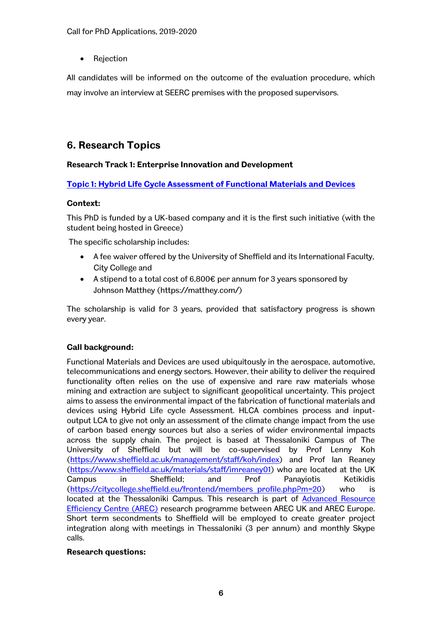Rejection

All candidates will be informed on the outcome of the evaluation procedure, which may involve an interview at SEERC premises with the proposed supervisors.

# **6. Research Topics**

# **Research Track 1: Enterprise Innovation and Development**

**Topic 1: Hybrid Life Cycle Assessment of Functional Materials and Devices**

# **Context:**

This PhD is funded by a UK-based company and it is the first such initiative (with the student being hosted in Greece)

The specific scholarship includes:

- A fee waiver offered by the University of Sheffield and its International Faculty, City College and
- A stipend to a total cost of  $6,800 \text{E}$  per annum for 3 years sponsored by Johnson Matthey [\(https://matthey.com/\)](https://matthey.com/)

The scholarship is valid for 3 years, provided that satisfactory progress is shown every year.

# **Call background:**

Functional Materials and Devices are used ubiquitously in the aerospace, automotive, telecommunications and energy sectors. However, their ability to deliver the required functionality often relies on the use of expensive and rare raw materials whose mining and extraction are subject to significant geopolitical uncertainty. This project aims to assess the environmental impact of the fabrication of functional materials and devices using Hybrid Life cycle Assessment. HLCA combines process and inputoutput LCA to give not only an assessment of the climate change impact from the use of carbon based energy sources but also a series of wider environmental impacts across the supply chain. The project is based at Thessaloniki Campus of The University of Sheffield but will be co-supervised by Prof Lenny Koh [\(https://www.sheffield.ac.uk/management/staff/koh/index\)](https://www.sheffield.ac.uk/management/staff/koh/index) and Prof Ian Reaney [\(https://www.sheffield.ac.uk/materials/staff/imreaney01\)](https://www.sheffield.ac.uk/materials/staff/imreaney01) who are located at the UK Campus in Sheffield; and Prof Panayiotis Ketikidis [\(https://citycollege.sheffield.eu/frontend/members\\_profile.php?m=20\)](https://citycollege.sheffield.eu/frontend/members_profile.php?m=20) who is located at the Thessaloniki Campus. This research is part of [Advanced Resource](http://www.sheffield.ac.uk/arec)  [Efficiency Centre \(AREC\)](http://www.sheffield.ac.uk/arec) research programme between AREC UK and AREC Europe. Short term secondments to Sheffield will be employed to create greater project integration along with meetings in Thessaloniki (3 per annum) and monthly Skype calls.

# **Research questions:**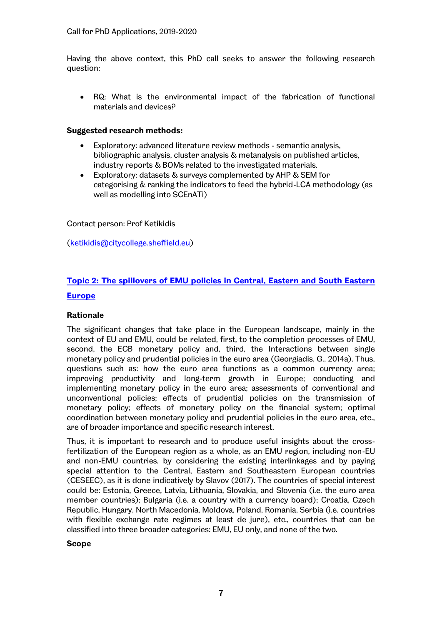Having the above context, this PhD call seeks to answer the following research question:

 RQ: What is the environmental impact of the fabrication of functional materials and devices?

### **Suggested research methods:**

- Exploratory: advanced literature review methods semantic analysis, bibliographic analysis, cluster analysis & metanalysis on published articles, industry reports & BOMs related to the investigated materials.
- Exploratory: datasets & surveys complemented by AHP & SEM for categorising & ranking the indicators to feed the hybrid-LCA methodology (as well as modelling into SCEnATi)

Contact person: Prof Ketikidis

[\(ketikidis@citycollege.sheffield.eu\)](mailto:ketikidis@citycollege.sheffield.eu)

# **Topic 2: The spillovers of EMU policies in Central, Eastern and South Eastern Europe**

## **Rationale**

The significant changes that take place in the European landscape, mainly in the context of EU and EMU, could be related, first, to the completion processes of EMU, second, the ECB monetary policy and, third, the Interactions between single monetary policy and prudential policies in the euro area (Georgiadis, G., 2014a). Thus, questions such as: how the euro area functions as a common currency area; improving productivity and long-term growth in Europe; conducting and implementing monetary policy in the euro area; assessments of conventional and unconventional policies; effects of prudential policies on the transmission of monetary policy; effects of monetary policy on the financial system; optimal coordination between monetary policy and prudential policies in the euro area, etc., are of broader importance and specific research interest.

Thus, it is important to research and to produce useful insights about the crossfertilization of the European region as a whole, as an EMU region, including non-EU and non-EMU countries, by considering the existing interlinkages and by paying special attention to the Central, Eastern and Southeastern European countries (CESEEC), as it is done indicatively by Slavov (2017). The countries of special interest could be: Estonia, Greece, Latvia, Lithuania, Slovakia, and Slovenia (i.e. the euro area member countries); Bulgaria (i.e. a country with a currency board); Croatia, Czech Republic, Hungary, North Macedonia, Moldova, Poland, Romania, Serbia (i.e. countries with flexible exchange rate regimes at least de jure), etc., countries that can be classified into three broader categories: EMU, EU only, and none of the two.

**Scope**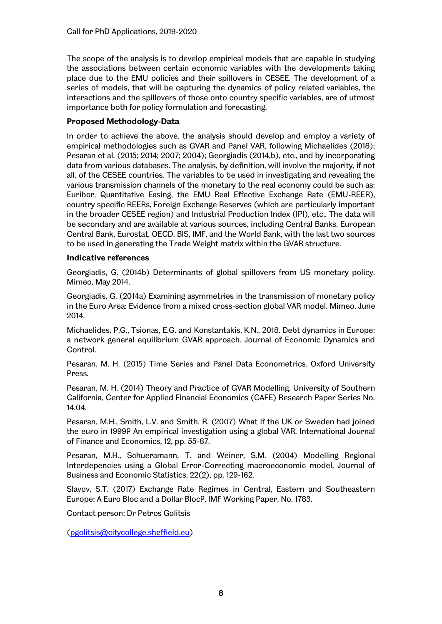The scope of the analysis is to develop empirical models that are capable in studying the associations between certain economic variables with the developments taking place due to the EMU policies and their spillovers in CESEE. The development of a series of models, that will be capturing the dynamics of policy related variables, the interactions and the spillovers of those onto country specific variables, are of utmost importance both for policy formulation and forecasting.

# **Proposed Methodology-Data**

In order to achieve the above, the analysis should develop and employ a variety of empirical methodologies such as GVAR and Panel VAR, following Michaelides (2018); Pesaran et al. (2015; 2014; 2007; 2004); Georgiadis (2014,b), etc., and by incorporating data from various databases. The analysis, by definition, will involve the majority, if not all, of the CESEE countries. The variables to be used in investigating and revealing the various transmission channels of the monetary to the real economy could be such as: Euribor, Quantitative Easing, the EMU Real Effective Exchange Rate (EMU-REER), country specific REERs, Foreign Exchange Reserves (which are particularly important in the broader CESEE region) and Industrial Production Index (IPI), etc.. The data will be secondary and are available at various sources, including Central Banks, European Central Bank, Eurostat, OECD, BIS, IMF, and the World Bank, with the last two sources to be used in generating the Trade Weight matrix within the GVAR structure.

# **Indicative references**

Georgiadis, G. (2014b) Determinants of global spillovers from US monetary policy. Mimeo, May 2014.

Georgiadis, G. (2014a) Examining asymmetries in the transmission of monetary policy in the Euro Area: Evidence from a mixed cross-section global VAR model. Mimeo, June 2014.

Michaelides, P.G., Tsionas, E.G. and Konstantakis, K.N., 2018. Debt dynamics in Europe: a network general equilibrium GVAR approach. Journal of Economic Dynamics and Control.

[Pesaran, M](http://papers.ssrn.com/sol3/cf_dev/AbsByAuth.cfm?per_id=117828). H. (2015) Time Series and Panel Data Econometrics. Oxford University Press.

[Pesaran, M](http://papers.ssrn.com/sol3/cf_dev/AbsByAuth.cfm?per_id=117828). H. (2014) Theory and Practice of GVAR Modelling, [University of Southern](http://papers.ssrn.com/sol3/papers.cfm?abstract_id=2435990#%23)  [California, Center for Applied Financial Economics \(CAFE\) Research Paper Series No.](http://papers.ssrn.com/sol3/papers.cfm?abstract_id=2435990#%23)  [14.04.](http://papers.ssrn.com/sol3/papers.cfm?abstract_id=2435990#%23)

Pesaran, M.H., Smith, L.V. and Smith, R. (2007) What if the UK or Sweden had joined the euro in 1999? An empirical investigation using a global VAR. International Journal of Finance and Economics, 12, pp. 55-87.

Pesaran, M.H., Schueramann, T. and Weiner, S.M. (2004) Modelling Regional Interdepencies using a Global Error-Correcting macroeconomic model, Journal of Business and Economic Statistics, 22(2), pp. 129-162.

Slavov, S.T. (2017) Exchange Rate Regimes in Central, Eastern and Southeastern Europe: A Euro Bloc and a Dollar Bloc?. IMF Working Paper, No. 1783.

Contact person: Dr Petros Golitsis

[\(pgolitsis@citycollege.sheffield.eu\)](mailto:pgolitsis@citycollege.sheffield.eu)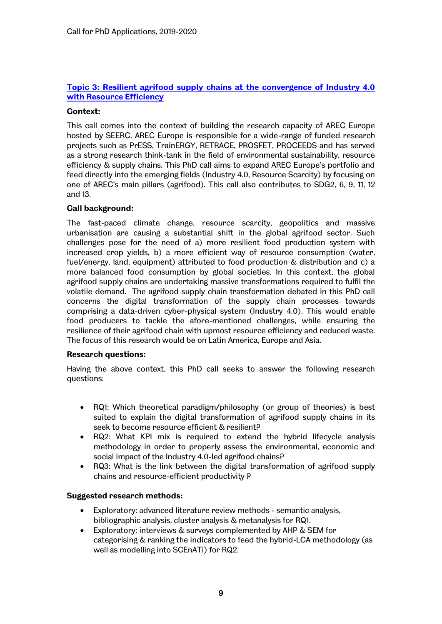# **Topic 3: Resilient agrifood supply chains at the convergence of Industry 4.0 with Resource Efficiency**

## **Context:**

This call comes into the context of building the research capacity of AREC Europe hosted by SEERC. AREC Europe is responsible for a wide-range of funded research projects such as PrESS, TrainERGY, RETRACE, PROSFET, PROCEEDS and has served as a strong research think-tank in the field of environmental sustainability, resource efficiency & supply chains. This PhD call aims to expand AREC Europe's portfolio and feed directly into the emerging fields (Industry 4.0, Resource Scarcity) by focusing on one of AREC's main pillars (agrifood). This call also contributes to SDG2, 6, 9, 11, 12 and 13.

### **Call background:**

The fast-paced climate change, resource scarcity, geopolitics and massive urbanisation are causing a substantial shift in the global agrifood sector. Such challenges pose for the need of a) more resilient food production system with increased crop yields, b) a more efficient way of resource consumption (water, fuel/energy, land, equipment) attributed to food production & distribution and c) a more balanced food consumption by global societies. In this context, the global agrifood supply chains are undertaking massive transformations required to fulfil the volatile demand. The agrifood supply chain transformation debated in this PhD call concerns the digital transformation of the supply chain processes towards comprising a data-driven cyber-physical system (Industry 4.0). This would enable food producers to tackle the afore-mentioned challenges, while ensuring the resilience of their agrifood chain with upmost resource efficiency and reduced waste. The focus of this research would be on Latin America, Europe and Asia.

#### **Research questions:**

Having the above context, this PhD call seeks to answer the following research questions:

- RQ1: Which theoretical paradigm/philosophy (or group of theories) is best suited to explain the digital transformation of agrifood supply chains in its seek to become resource efficient & resilient?
- RQ2: What KPI mix is required to extend the hybrid lifecycle analysis methodology in order to properly assess the environmental, economic and social impact of the Industry 4.0-led agrifood chains?
- RQ3: What is the link between the digital transformation of agrifood supply chains and resource-efficient productivity ?

# **Suggested research methods:**

- Exploratory: advanced literature review methods semantic analysis, bibliographic analysis, cluster analysis & metanalysis for RQ1.
- Exploratory: interviews & surveys complemented by AHP & SEM for categorising & ranking the indicators to feed the hybrid-LCA methodology (as well as modelling into SCEnATi) for RQ2.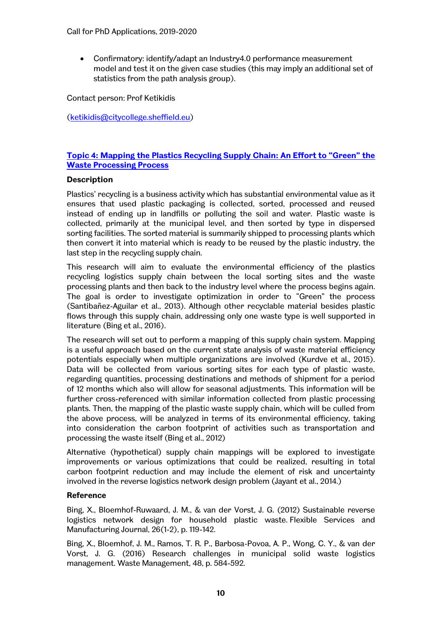Confirmatory: identify/adapt an Industry4.0 performance measurement model and test it on the given case studies (this may imply an additional set of statistics from the path analysis group).

Contact person: Prof Ketikidis

[\(ketikidis@citycollege.sheffield.eu\)](mailto:ketikidis@citycollege.sheffield.eu)

# **Topic 4: Mapping the Plastics Recycling Supply Chain: An Effort to "Green" the Waste Processing Process**

# **Description**

Plastics' recycling is a business activity which has substantial environmental value as it ensures that used plastic packaging is collected, sorted, processed and reused instead of ending up in landfills or polluting the soil and water. Plastic waste is collected, primarily at the municipal level, and then sorted by type in dispersed sorting facilities. The sorted material is summarily shipped to processing plants which then convert it into material which is ready to be reused by the plastic industry, the last step in the recycling supply chain.

This research will aim to evaluate the environmental efficiency of the plastics recycling logistics supply chain between the local sorting sites and the waste processing plants and then back to the industry level where the process begins again. The goal is order to investigate optimization in order to "Green" the process (Santibañez-Aguilar et al., 2013). Although other recyclable material besides plastic flows through this supply chain, addressing only one waste type is well supported in literature (Bing et al., 2016).

The research will set out to perform a mapping of this supply chain system. Mapping is a useful approach based on the current state analysis of waste material efficiency potentials especially when multiple organizations are involved (Kurdve et al., 2015). Data will be collected from various sorting sites for each type of plastic waste, regarding quantities, processing destinations and methods of shipment for a period of 12 months which also will allow for seasonal adjustments. This information will be further cross-referenced with similar information collected from plastic processing plants. Then, the mapping of the plastic waste supply chain, which will be culled from the above process, will be analyzed in terms of its environmental efficiency, taking into consideration the carbon footprint of activities such as transportation and processing the waste itself (Bing et al., 2012)

Alternative (hypothetical) supply chain mappings will be explored to investigate improvements or various optimizations that could be realized, resulting in total carbon footprint reduction and may include the element of risk and uncertainty involved in the reverse logistics network design problem (Jayant et al., 2014.)

# **Reference**

Bing, X., Bloemhof-Ruwaard, J. M., & van der Vorst, J. G. (2012) Sustainable reverse logistics network design for household plastic waste. Flexible Services and Manufacturing Journal, 26(1-2), p. 119-142.

Bing, X., Bloemhof, J. M., Ramos, T. R. P., Barbosa-Povoa, A. P., Wong, C. Y., & van der Vorst, J. G. (2016) Research challenges in municipal solid waste logistics management. Waste Management, 48, p. 584-592.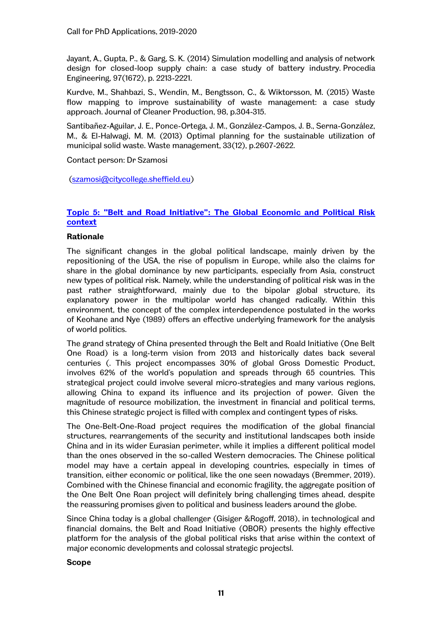Jayant, A., Gupta, P., & Garg, S. K. (2014) Simulation modelling and analysis of network design for closed-loop supply chain: a case study of battery industry. Procedia Engineering, 97(1672), p. 2213-2221.

Kurdve, M., Shahbazi, S., Wendin, M., Bengtsson, C., & Wiktorsson, M. (2015) Waste flow mapping to improve sustainability of waste management: a case study approach. Journal of Cleaner Production, 98, p.304-315.

Santibañez-Aguilar, J. E., Ponce-Ortega, J. M., González-Campos, J. B., Serna-González, M., & El-Halwagi, M. M. (2013) Optimal planning for the sustainable utilization of municipal solid waste. Waste management, 33(12), p.2607-2622.

Contact person: Dr Szamosi

[\(szamosi@citycollege.sheffield.eu\)](mailto:szamosi@citycollege.sheffield.eu)

# **Topic 5: "Belt and Road Initiative": The Global Economic and Political Risk context**

# **Rationale**

The significant changes in the global political landscape, mainly driven by the repositioning of the USA, the rise of populism in Europe, while also the claims for share in the global dominance by new participants, especially from Asia, construct new types of political risk. Namely, while the understanding of political risk was in the past rather straightforward, mainly due to the bipolar global structure, its explanatory power in the multipolar world has changed radically. Within this environment, the concept of the complex interdependence postulated in the works of Keohane and Nye (1989) offers an effective underlying framework for the analysis of world politics.

The grand strategy of China presented through the Belt and Roald Initiative (One Belt One Road) is a long-term vision from 2013 and historically dates back several centuries (. This project encompasses 30% of global Gross Domestic Product, involves 62% of the world's population and spreads through 65 countries. This strategical project could involve several micro-strategies and many various regions, allowing China to expand its influence and its projection of power. Given the magnitude of resource mobilization, the investment in financial and political terms, this Chinese strategic project is filled with complex and contingent types of risks.

The One-Belt-One-Road project requires the modification of the global financial structures, rearrangements of the security and institutional landscapes both inside China and in its wider Eurasian perimeter, while it implies a different political model than the ones observed in the so-called Western democracies. The Chinese political model may have a certain appeal in developing countries, especially in times of transition, either economic or political, like the one seen nowadays (Bremmer, 2019). Combined with the Chinese financial and economic fragility, the aggregate position of the One Belt One Roan project will definitely bring challenging times ahead, despite the reassuring promises given to political and business leaders around the globe.

Since China today is a global challenger (Gisiger &Rogoff, 2018), in technological and financial domains, the Belt and Road Initiative (OBOR) presents the highly effective platform for the analysis of the global political risks that arise within the context of major economic developments and colossal strategic projectsl.

# **Scope**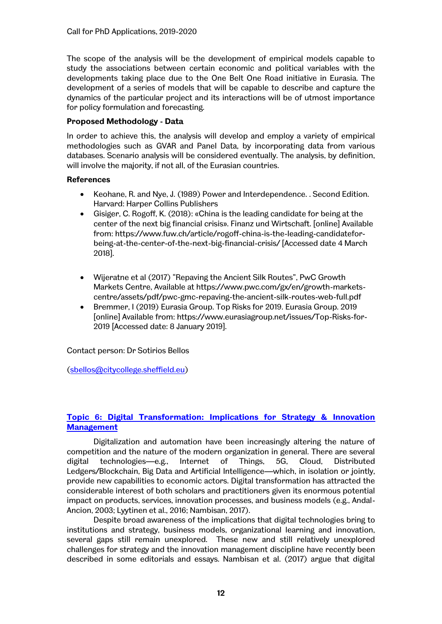The scope of the analysis will be the development of empirical models capable to study the associations between certain economic and political variables with the developments taking place due to the One Belt One Road initiative in Eurasia. The development of a series of models that will be capable to describe and capture the dynamics of the particular project and its interactions will be of utmost importance for policy formulation and forecasting.

# **Proposed Methodology - Data**

In order to achieve this, the analysis will develop and employ a variety of empirical methodologies such as GVAR and Panel Data, by incorporating data from various databases. Scenario analysis will be considered eventually. The analysis, by definition, will involve the majority, if not all, of the Eurasian countries.

# **References**

- Keohane, R. and Nye, J. (1989) Power and Interdependence. . Second Edition. Harvard: Harper Collins Publishers
- Gisiger, C. Rogoff, K. (2018): «China is the leading candidate for being at the center of the next big financial crisis». Finanz und Wirtschaft. [online] Available from: https://www.fuw.ch/article/rogoff-china-is-the-leading-candidateforbeing-at-the-center-of-the-next-big-financial-crisis/ [Accessed date 4 March 2018].
- Wijeratne et al (2017) "Repaving the Ancient Silk Routes", PwC Growth Markets Centre, Available at https://www.pwc.com/gx/en/growth-marketscentre/assets/pdf/pwc-gmc-repaving-the-ancient-silk-routes-web-full.pdf
- Bremmer, I (2019) Eurasia Group. Top Risks for 2019. Eurasia Group. 2019 [online] Available from: https://www.eurasiagroup.net/issues/Top-Risks-for-2019 [Accessed date: 8 January 2019].

Contact person: Dr Sotirios Bellos

[\(sbellos@citycollege.sheffield.eu\)](mailto:sbellos@citycollege.sheffield.eu)

# **Topic 6: Digital Transformation: Implications for Strategy & Innovation Management**

Digitalization and automation have been increasingly altering the nature of competition and the nature of the modern organization in general. There are several digital technologies—e.g., Internet of Things, 5G, Cloud, Distributed Ledgers/Blockchain, Big Data and Artificial Intelligence—which, in isolation or jointly, provide new capabilities to economic actors. Digital transformation has attracted the considerable interest of both scholars and practitioners given its enormous potential impact on products, services, innovation processes, and business models (e.g., Andal-Ancion, 2003; Lyytinen et al., 2016; Nambisan, 2017).

Despite broad awareness of the implications that digital technologies bring to institutions and strategy, business models, organizational learning and innovation, several gaps still remain unexplored. These new and still relatively unexplored challenges for strategy and the innovation management discipline have recently been described in some editorials and essays. Nambisan et al. (2017) argue that digital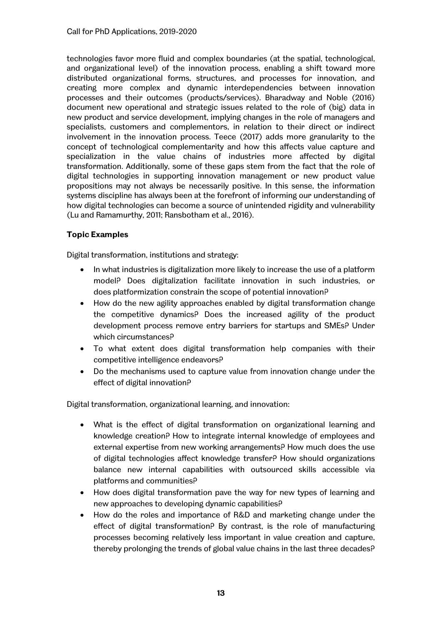technologies favor more fluid and complex boundaries (at the spatial, technological, and organizational level) of the innovation process, enabling a shift toward more distributed organizational forms, structures, and processes for innovation, and creating more complex and dynamic interdependencies between innovation processes and their outcomes (products/services). Bharadway and Noble (2016) document new operational and strategic issues related to the role of (big) data in new product and service development, implying changes in the role of managers and specialists, customers and complementors, in relation to their direct or indirect involvement in the innovation process. Teece (2017) adds more granularity to the concept of technological complementarity and how this affects value capture and specialization in the value chains of industries more affected by digital transformation. Additionally, some of these gaps stem from the fact that the role of digital technologies in supporting innovation management or new product value propositions may not always be necessarily positive. In this sense, the information systems discipline has always been at the forefront of informing our understanding of how digital technologies can become a source of unintended rigidity and vulnerability (Lu and Ramamurthy, 2011; Ransbotham et al., 2016).

# **Topic Examples**

Digital transformation, institutions and strategy:

- In what industries is digitalization more likely to increase the use of a platform model? Does digitalization facilitate innovation in such industries, or does platformization constrain the scope of potential innovation?
- How do the new agility approaches enabled by digital transformation change the competitive dynamics? Does the increased agility of the product development process remove entry barriers for startups and SMEs? Under which circumstances?
- To what extent does digital transformation help companies with their competitive intelligence endeavors?
- Do the mechanisms used to capture value from innovation change under the effect of digital innovation?

Digital transformation, organizational learning, and innovation:

- What is the effect of digital transformation on organizational learning and knowledge creation? How to integrate internal knowledge of employees and external expertise from new working arrangements? How much does the use of digital technologies affect knowledge transfer? How should organizations balance new internal capabilities with outsourced skills accessible via platforms and communities?
- How does digital transformation pave the way for new types of learning and new approaches to developing dynamic capabilities?
- How do the roles and importance of R&D and marketing change under the effect of digital transformation? By contrast, is the role of manufacturing processes becoming relatively less important in value creation and capture, thereby prolonging the trends of global value chains in the last three decades?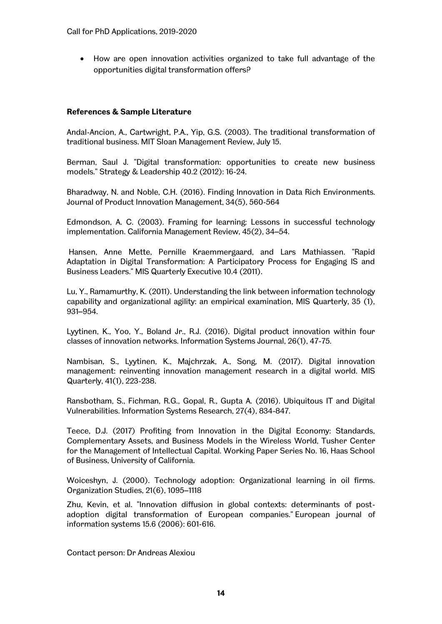How are open innovation activities organized to take full advantage of the opportunities digital transformation offers?

## **References & Sample Literature**

Andal-Ancion, A., Cartwright, P.A., Yip, G.S. (2003). The traditional transformation of traditional business. MIT Sloan Management Review, July 15.

Berman, Saul J. "Digital transformation: opportunities to create new business models." Strategy & Leadership 40.2 (2012): 16-24.

Bharadway, N. and Noble, C.H. (2016). Finding Innovation in Data Rich Environments. Journal of Product Innovation Management, 34(5), 560-564

Edmondson, A. C. (2003). Framing for learning: Lessons in successful technology implementation. California Management Review, 45(2), 34–54.

Hansen, Anne Mette, Pernille Kraemmergaard, and Lars Mathiassen. "Rapid Adaptation in Digital Transformation: A Participatory Process for Engaging IS and Business Leaders." MIS Quarterly Executive 10.4 (2011).

Lu, Y., Ramamurthy, K. (2011). Understanding the link between information technology capability and organizational agility: an empirical examination, MIS Quarterly, 35 (1), 931–954.

Lyytinen, K., Yoo, Y., Boland Jr., R.J. (2016). Digital product innovation within four classes of innovation networks. Information Systems Journal, 26(1), 47-75.

Nambisan, S., Lyytinen, K., Majchrzak, A., Song, M. (2017). Digital innovation management: reinventing innovation management research in a digital world. MIS Quarterly, 41(1), 223-238.

Ransbotham, S., Fichman, R.G., Gopal, R., Gupta A. (2016). Ubiquitous IT and Digital Vulnerabilities. Information Systems Research, 27(4), 834-847.

Teece, D.J. (2017) Profiting from Innovation in the Digital Economy: Standards, Complementary Assets, and Business Models in the Wireless World, Tusher Center for the Management of Intellectual Capital. Working Paper Series No. 16, Haas School of Business, University of California.

Woiceshyn, J. (2000). Technology adoption: Organizational learning in oil firms. Organization Studies, 21(6), 1095–1118

Zhu, Kevin, et al. "Innovation diffusion in global contexts: determinants of postadoption digital transformation of European companies." European journal of information systems 15.6 (2006): 601-616.

Contact person: Dr Andreas Alexiou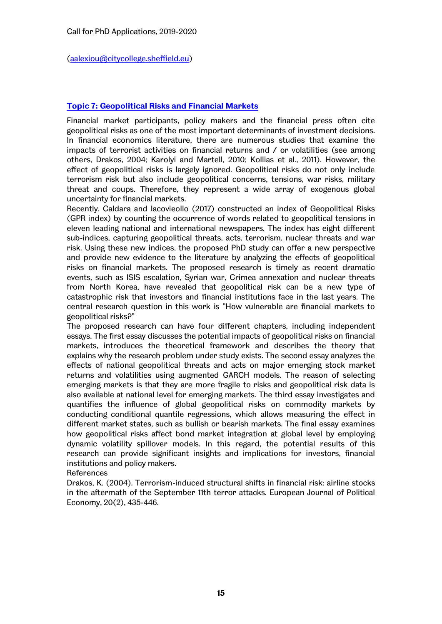[\(aalexiou@citycollege.sheffield.eu\)](mailto:aalexiou@citycollege.sheffield.eu)

# **Topic 7: Geopolitical Risks and Financial Markets**

Financial market participants, policy makers and the financial press often cite geopolitical risks as one of the most important determinants of investment decisions. In financial economics literature, there are numerous studies that examine the impacts of terrorist activities on financial returns and / or volatilities (see among others, Drakos, 2004; Karolyi and Martell, 2010; Kollias et al., 2011). However, the effect of geopolitical risks is largely ignored. Geopolitical risks do not only include terrorism risk but also include geopolitical concerns, tensions, war risks, military threat and coups. Therefore, they represent a wide array of exogenous global uncertainty for financial markets.

Recently, Caldara and Iacovieollo (2017) constructed an index of Geopolitical Risks (GPR index) by counting the occurrence of words related to geopolitical tensions in eleven leading national and international newspapers. The index has eight different sub-indices, capturing geopolitical threats, acts, terrorism, nuclear threats and war risk. Using these new indices, the proposed PhD study can offer a new perspective and provide new evidence to the literature by analyzing the effects of geopolitical risks on financial markets. The proposed research is timely as recent dramatic events, such as ISIS escalation, Syrian war, Crimea annexation and nuclear threats from North Korea, have revealed that geopolitical risk can be a new type of catastrophic risk that investors and financial institutions face in the last years. The central research question in this work is "How vulnerable are financial markets to geopolitical risks?"

The proposed research can have four different chapters, including independent essays. The first essay discusses the potential impacts of geopolitical risks on financial markets, introduces the theoretical framework and describes the theory that explains why the research problem under study exists. The second essay analyzes the effects of national geopolitical threats and acts on major emerging stock market returns and volatilities using augmented GARCH models. The reason of selecting emerging markets is that they are more fragile to risks and geopolitical risk data is also available at national level for emerging markets. The third essay investigates and quantifies the influence of global geopolitical risks on commodity markets by conducting conditional quantile regressions, which allows measuring the effect in different market states, such as bullish or bearish markets. The final essay examines how geopolitical risks affect bond market integration at global level by employing dynamic volatility spillover models. In this regard, the potential results of this research can provide significant insights and implications for investors, financial institutions and policy makers.

References

Drakos, K. (2004). Terrorism-induced structural shifts in financial risk: airline stocks in the aftermath of the September 11th terror attacks. European Journal of Political Economy, 20(2), 435-446.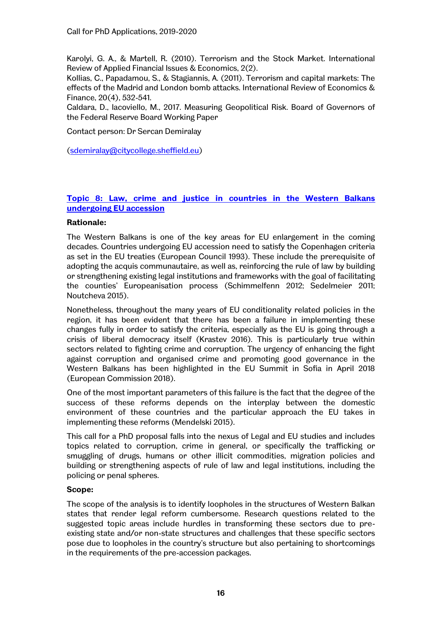Karolyi, G. A., & Martell, R. (2010). Terrorism and the Stock Market. International Review of Applied Financial Issues & Economics, 2(2).

Kollias, C., Papadamou, S., & Stagiannis, A. (2011). Terrorism and capital markets: The effects of the Madrid and London bomb attacks. International Review of Economics & Finance, 20(4), 532-541.

Caldara, D., Iacoviello, M., 2017. Measuring Geopolitical Risk. Board of Governors of the Federal Reserve Board Working Paper

Contact person: Dr Sercan Demiralay

[\(sdemiralay@citycollege.sheffield.eu\)](mailto:sdemiralay@citycollege.sheffield.eu)

# **Topic 8: Law, crime and justice in countries in the Western Balkans undergoing EU accession**

### **Rationale:**

The Western Balkans is one of the key areas for EU enlargement in the coming decades. Countries undergoing EU accession need to satisfy the Copenhagen criteria as set in the EU treaties (European Council 1993). These include the prerequisite of adopting the acquis communautaire, as well as, reinforcing the rule of law by building or strengthening existing legal institutions and frameworks with the goal of facilitating the counties' Europeanisation process (Schimmelfenn 2012; Sedelmeier 2011; Noutcheva 2015).

Nonetheless, throughout the many years of EU conditionality related policies in the region, it has been evident that there has been a failure in implementing these changes fully in order to satisfy the criteria, especially as the EU is going through a crisis of liberal democracy itself (Krastev 2016). This is particularly true within sectors related to fighting crime and corruption. The urgency of enhancing the fight against corruption and organised crime and promoting good governance in the Western Balkans has been highlighted in the EU Summit in Sofia in April 2018 (European Commission 2018).

One of the most important parameters of this failure is the fact that the degree of the success of these reforms depends on the interplay between the domestic environment of these countries and the particular approach the EU takes in implementing these reforms (Mendelski 2015).

This call for a PhD proposal falls into the nexus of Legal and EU studies and includes topics related to corruption, crime in general, or specifically the trafficking or smuggling of drugs, humans or other illicit commodities, migration policies and building or strengthening aspects of rule of law and legal institutions, including the policing or penal spheres.

# **Scope:**

The scope of the analysis is to identify loopholes in the structures of Western Balkan states that render legal reform cumbersome. Research questions related to the suggested topic areas include hurdles in transforming these sectors due to preexisting state and/or non-state structures and challenges that these specific sectors pose due to loopholes in the country's structure but also pertaining to shortcomings in the requirements of the pre-accession packages.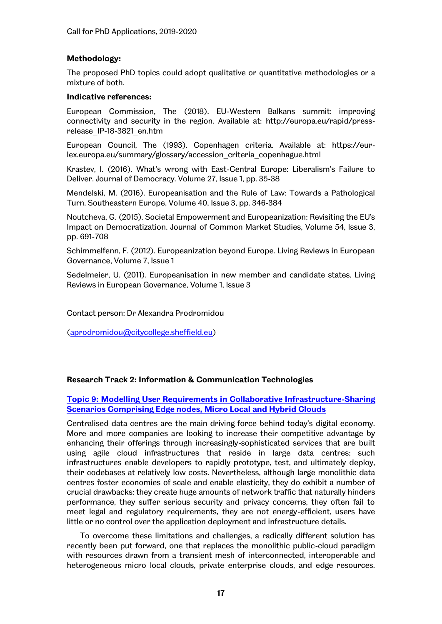### **Methodology:**

The proposed PhD topics could adopt qualitative or quantitative methodologies or a mixture of both.

#### **Indicative references:**

European Commission, The (2018). EU-Western Balkans summit: improving connectivity and security in the region. Available at: [http://europa.eu/rapid/press](http://europa.eu/rapid/press-release_IP-18-3821_en.htm)[release\\_IP-18-3821\\_en.htm](http://europa.eu/rapid/press-release_IP-18-3821_en.htm) 

European Council, The (1993). Copenhagen criteria. Available at: [https://eur](https://eur-lex.europa.eu/summary/glossary/accession_criteria_copenhague.html)[lex.europa.eu/summary/glossary/accession\\_criteria\\_copenhague.html](https://eur-lex.europa.eu/summary/glossary/accession_criteria_copenhague.html)

Krastev, I. (2016). What's wrong with East-Central Europe: Liberalism's Failure to Deliver. Journal of Democracy. Volume 27, Issue 1, pp. 35-38

Mendelski, M. (2016). Europeanisation and the Rule of Law: Towards a Pathological Turn. Southeastern Europe, Volume 40, Issue 3, pp. 346-384

Noutcheva, G. (2015). Societal Empowerment and Europeanization: Revisiting the EU's Impact on Democratization. Journal of Common Market Studies, Volume 54, Issue 3, pp. 691-708

Schimmelfenn, F. (2012). Europeanization beyond Europe. Living Reviews in European Governance, Volume 7, Issue 1

Sedelmeier, U. (2011). Europeanisation in new member and candidate states, Living Reviews in European Governance, Volume 1, Issue 3

Contact person: Dr Alexandra Prodromidou

[\(aprodromidou@citycollege.sheffield.eu\)](mailto:aprodromidou@citycollege.sheffield.eu)

#### **Research Track 2: Information & Communication Technologies**

# **Topic 9: Modelling User Requirements in Collaborative Infrastructure-Sharing Scenarios Comprising Edge nodes, Micro Local and Hybrid Clouds**

Centralised data centres are the main driving force behind today's digital economy. More and more companies are looking to increase their competitive advantage by enhancing their offerings through increasingly-sophisticated services that are built using agile cloud infrastructures that reside in large data centres; such infrastructures enable developers to rapidly prototype, test, and ultimately deploy, their codebases at relatively low costs. Nevertheless, although large monolithic data centres foster economies of scale and enable elasticity, they do exhibit a number of crucial drawbacks: they create huge amounts of network traffic that naturally hinders performance, they suffer serious security and privacy concerns, they often fail to meet legal and regulatory requirements, they are not energy-efficient, users have little or no control over the application deployment and infrastructure details.

To overcome these limitations and challenges, a radically different solution has recently been put forward, one that replaces the monolithic public-cloud paradigm with resources drawn from a transient mesh of interconnected, interoperable and heterogeneous micro local clouds, private enterprise clouds, and edge resources.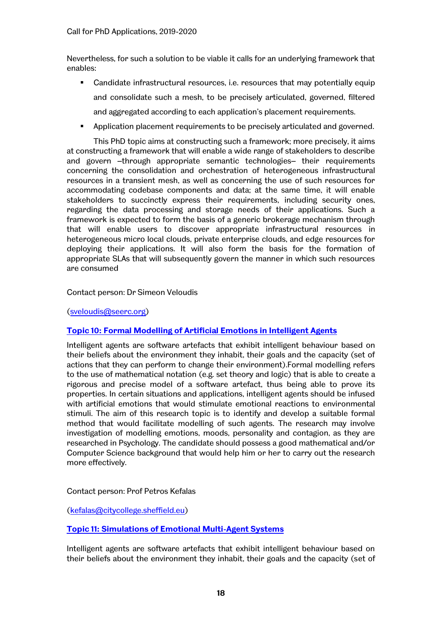Nevertheless, for such a solution to be viable it calls for an underlying framework that enables:

- Candidate infrastructural resources, i.e. resources that may potentially equip and consolidate such a mesh, to be precisely articulated, governed, filtered and aggregated according to each application's placement requirements.
- Application placement requirements to be precisely articulated and governed.

This PhD topic aims at constructing such a framework; more precisely, it aims at constructing a framework that will enable a wide range of stakeholders to describe and govern –through appropriate semantic technologies– their requirements concerning the consolidation and orchestration of heterogeneous infrastructural resources in a transient mesh, as well as concerning the use of such resources for accommodating codebase components and data; at the same time, it will enable stakeholders to succinctly express their requirements, including security ones, regarding the data processing and storage needs of their applications. Such a framework is expected to form the basis of a generic brokerage mechanism through that will enable users to discover appropriate infrastructural resources in heterogeneous micro local clouds, private enterprise clouds, and edge resources for deploying their applications. It will also form the basis for the formation of appropriate SLAs that will subsequently govern the manner in which such resources are consumed

### Contact person: Dr Simeon Veloudis

(sveloudis@seerc.org)

# **Topic 10: Formal Modelling of Artificial Emotions in Intelligent Agents**

Intelligent agents are software artefacts that exhibit intelligent behaviour based on their beliefs about the environment they inhabit, their goals and the capacity (set of actions that they can perform to change their environment).Formal modelling refers to the use of mathematical notation (e.g. set theory and logic) that is able to create a rigorous and precise model of a software artefact, thus being able to prove its properties. In certain situations and applications, intelligent agents should be infused with artificial emotions that would stimulate emotional reactions to environmental stimuli. The aim of this research topic is to identify and develop a suitable formal method that would facilitate modelling of such agents. The research may involve investigation of modelling emotions, moods, personality and contagion, as they are researched in Psychology. The candidate should possess a good mathematical and/or Computer Science background that would help him or her to carry out the research more effectively.

#### Contact person: Prof Petros Kefalas

(kefalas@citycollege.sheffield.eu)

# **Topic 11: Simulations of Emotional Multi-Agent Systems**

Intelligent agents are software artefacts that exhibit intelligent behaviour based on their beliefs about the environment they inhabit, their goals and the capacity (set of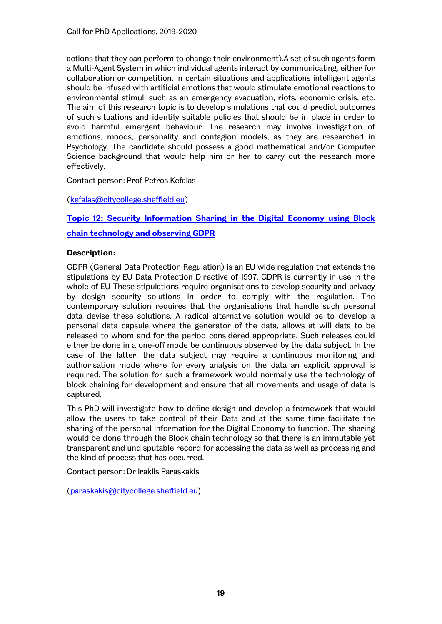actions that they can perform to change their environment).A set of such agents form a Multi-Agent System in which individual agents interact by communicating, either for collaboration or competition. In certain situations and applications intelligent agents should be infused with artificial emotions that would stimulate emotional reactions to environmental stimuli such as an emergency evacuation, riots, economic crisis, etc. The aim of this research topic is to develop simulations that could predict outcomes of such situations and identify suitable policies that should be in place in order to avoid harmful emergent behaviour. The research may involve investigation of emotions, moods, personality and contagion models, as they are researched in Psychology. The candidate should possess a good mathematical and/or Computer Science background that would help him or her to carry out the research more effectively.

Contact person: Prof Petros Kefalas

(kefalas@citycollege.sheffield.eu)

**Topic 12: Security Information Sharing in the Digital Economy using Block** 

# **chain technology and observing GDPR**

# **Description:**

GDPR (General Data Protection Regulation) is an EU wide regulation that extends the stipulations by EU Data Protection Directive of 1997. GDPR is currently in use in the whole of EU These stipulations require organisations to develop security and privacy by design security solutions in order to comply with the regulation. The contemporary solution requires that the organisations that handle such personal data devise these solutions. A radical alternative solution would be to develop a personal data capsule where the generator of the data, allows at will data to be released to whom and for the period considered appropriate. Such releases could either be done in a one-off mode be continuous observed by the data subject. In the case of the latter, the data subject may require a continuous monitoring and authorisation mode where for every analysis on the data an explicit approval is required. The solution for such a framework would normally use the technology of block chaining for development and ensure that all movements and usage of data is captured.

This PhD will investigate how to define design and develop a framework that would allow the users to take control of their Data and at the same time facilitate the sharing of the personal information for the Digital Economy to function. The sharing would be done through the Block chain technology so that there is an immutable yet transparent and undisputable record for accessing the data as well as processing and the kind of process that has occurred.

Contact person: Dr Iraklis Paraskakis

[\(paraskakis@citycollege.sheffield.eu](mailto:paraskakis@citycollege.sheffield.eu))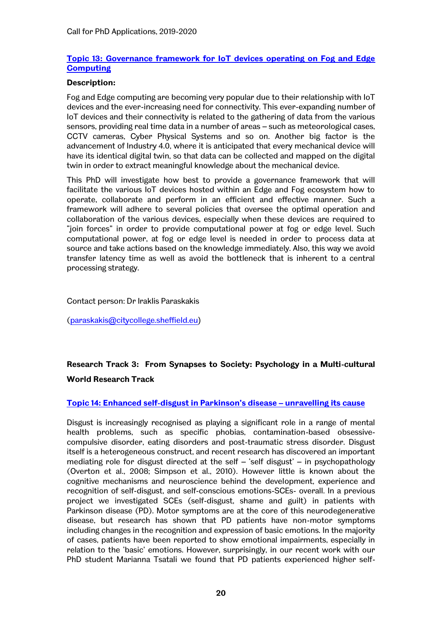# **Topic 13: Governance framework for IoT devices operating on Fog and Edge Computing**

### **Description:**

Fog and Edge computing are becoming very popular due to their relationship with IoT devices and the ever-increasing need for connectivity. This ever-expanding number of IoT devices and their connectivity is related to the gathering of data from the various sensors, providing real time data in a number of areas – such as meteorological cases, CCTV cameras, Cyber Physical Systems and so on. Another big factor is the advancement of Industry 4.0, where it is anticipated that every mechanical device will have its identical digital twin, so that data can be collected and mapped on the digital twin in order to extract meaningful knowledge about the mechanical device.

This PhD will investigate how best to provide a governance framework that will facilitate the various IoT devices hosted within an Edge and Fog ecosystem how to operate, collaborate and perform in an efficient and effective manner. Such a framework will adhere to several policies that oversee the optimal operation and collaboration of the various devices, especially when these devices are required to "join forces" in order to provide computational power at fog or edge level. Such computational power, at fog or edge level is needed in order to process data at source and take actions based on the knowledge immediately. Also, this way we avoid transfer latency time as well as avoid the bottleneck that is inherent to a central processing strategy.

Contact person: Dr Iraklis Paraskakis

[\(paraskakis@citycollege.sheffield.eu](mailto:paraskakis@citycollege.sheffield.eu))

# **Research Track 3: From Synapses to Society: Psychology in a Multi-cultural World Research Track**

# **Topic 14: Enhanced self-disgust in Parkinson's disease – unravelling its cause**

Disgust is increasingly recognised as playing a significant role in a range of mental health problems, such as specific phobias, contamination-based obsessivecompulsive disorder, eating disorders and post-traumatic stress disorder. Disgust itself is a heterogeneous construct, and recent research has discovered an important mediating role for disgust directed at the self  $-$  'self disgust'  $-$  in psychopathology (Overton et al., 2008; Simpson et al., 2010). However little is known about the cognitive mechanisms and neuroscience behind the development, experience and recognition of self-disgust, and self-conscious emotions-SCEs- overall. In a previous project we investigated SCEs (self-disgust, shame and guilt) in patients with Parkinson disease (PD). Motor symptoms are at the core of this neurodegenerative disease, but research has shown that PD patients have non-motor symptoms including changes in the recognition and expression of basic emotions. In the majority of cases, patients have been reported to show emotional impairments, especially in relation to the 'basic' emotions. However, surprisingly, in our recent work with our PhD student Marianna Tsatali we found that PD patients experienced higher self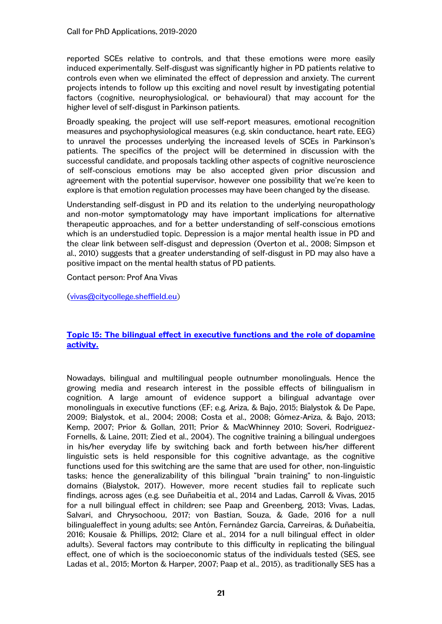reported SCEs relative to controls, and that these emotions were more easily induced experimentally. Self-disgust was significantly higher in PD patients relative to controls even when we eliminated the effect of depression and anxiety. The current projects intends to follow up this exciting and novel result by investigating potential factors (cognitive, neurophysiological, or behavioural) that may account for the higher level of self-disgust in Parkinson patients.

Broadly speaking, the project will use self-report measures, emotional recognition measures and psychophysiological measures (e.g. skin conductance, heart rate, EEG) to unravel the processes underlying the increased levels of SCEs in Parkinson's patients. The specifics of the project will be determined in discussion with the successful candidate, and proposals tackling other aspects of cognitive neuroscience of self-conscious emotions may be also accepted given prior discussion and agreement with the potential supervisor, however one possibility that we're keen to explore is that emotion regulation processes may have been changed by the disease.

Understanding self-disgust in PD and its relation to the underlying neuropathology and non-motor symptomatology may have important implications for alternative therapeutic approaches, and for a better understanding of self-conscious emotions which is an understudied topic. Depression is a major mental health issue in PD and the clear link between self-disgust and depression (Overton et al., 2008; Simpson et al., 2010) suggests that a greater understanding of self-disgust in PD may also have a positive impact on the mental health status of PD patients.

Contact person: Prof Ana Vivas

(vivas@citycollege.sheffield.eu)

# **Topic 15: The bilingual effect in executive functions and the role of dopamine activity.**

Nowadays, bilingual and multilingual people outnumber monolinguals. Hence the growing media and research interest in the possible effects of bilingualism in cognition. A large amount of evidence support a bilingual advantage over monolinguals in executive functions (EF; e.g. Ariza, & Bajo, 2015; Bialystok & De Pape, 2009; Bialystok, et al., 2004; 2008; Costa et al., 2008; Gómez-Ariza, & Bajo, 2013; Kemp, 2007; Prior & Gollan, 2011; Prior & MacWhinney 2010; Soveri, Rodriguez-Fornells, & Laine, 2011; Zied et al., 2004). The cognitive training a bilingual undergoes in his/her everyday life by switching back and forth between his/her different linguistic sets is held responsible for this cognitive advantage, as the cognitive functions used for this switching are the same that are used for other, non-linguistic tasks; hence the generalizability of this bilingual "brain training" to non-linguistic domains (Bialystok, 2017). However, more recent studies fail to replicate such findings, across ages (e.g. see Duñabeitia et al., 2014 and Ladas, Carroll & Vivas, 2015 for a null bilingual effect in children; see Paap and Greenberg, 2013; Vivas, Ladas, Salvari, and Chrysochoou, 2017; von Bastian, Souza, & Gade, 2016 for a null bilingualeffect in young adults; see Antón, Fernández García, Carreiras, & Duñabeitia, 2016; Kousaie & Phillips, 2012; Clare et al., 2014 for a null bilingual effect in older adults). Several factors may contribute to this difficulty in replicating the bilingual effect, one of which is the socioeconomic status of the individuals tested (SES, see Ladas et al., 2015; Morton & Harper, 2007; Paap et al., 2015), as traditionally SES has a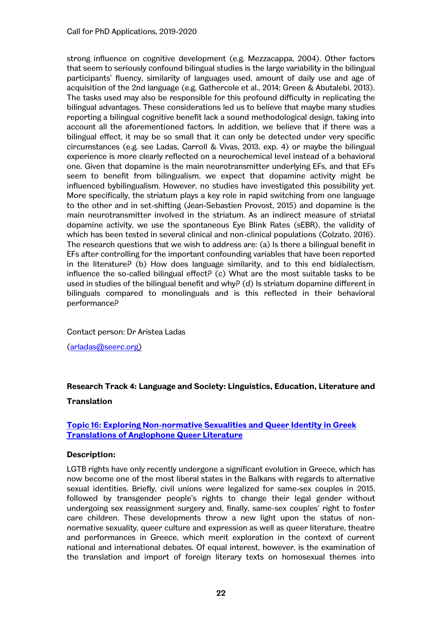strong influence on cognitive development (e.g. Mezzacappa, 2004). Other factors that seem to seriously confound bilingual studies is the large variability in the bilingual participants' fluency, similarity of languages used, amount of daily use and age of acquisition of the 2nd language (e.g. Gathercole et al., 2014; Green & Abutalebi, 2013). The tasks used may also be responsible for this profound difficulty in replicating the bilingual advantages. These considerations led us to believe that maybe many studies reporting a bilingual cognitive benefit lack a sound methodological design, taking into account all the aforementioned factors. In addition, we believe that if there was a bilingual effect, it may be so small that it can only be detected under very specific circumstances (e.g. see Ladas, Carroll & Vivas, 2013, exp. 4) or maybe the bilingual experience is more clearly reflected on a neurochemical level instead of a behavioral one. Given that dopamine is the main neurotransmitter underlying EFs, and that EFs seem to benefit from bilingualism, we expect that dopamine activity might be influenced bybilingualism. However, no studies have investigated this possibility yet. More specifically, the striatum plays a key role in rapid switching from one language to the other and in set-shifting (Jean-Sebastien Provost, 2015) and dopamine is the main neurotransmitter involved in the striatum. As an indirect measure of striatal dopamine activity, we use the spontaneous Eye Blink Rates (sEBR), the validity of which has been tested in several clinical and non-clinical populations (Colzato, 2016). The research questions that we wish to address are: (a) Is there a bilingual benefit in EFs after controlling for the important confounding variables that have been reported in the literature? (b) How does language similarity, and to this end bidialectism, influence the so-called bilingual effect $P$  (c) What are the most suitable tasks to be used in studies of the bilingual benefit and why? (d) Is striatum dopamine different in bilinguals compared to monolinguals and is this reflected in their behavioral performance?

Contact person: Dr Aristea Ladas [\(arladas@seerc.org\)](mailto:arladas@seerc.org)

# **Research Track 4: Language and Society: Linguistics, Education, Literature and Translation**

# **Topic 16: Exploring Non-normative Sexualities and Queer Identity in Greek Translations of Anglophone Queer Literature**

# **Description:**

LGTB rights have only recently undergone a significant evolution in Greece, which has now become one of the most liberal states in the Balkans with regards to alternative sexual identities. Briefly, civil unions were legalized for same-sex couples in 2015, followed by transgender people's rights to change their legal gender without undergoing sex reassignment surgery and, finally, same-sex couples' right to foster care children. These developments throw a new light upon the status of nonnormative sexuality, queer culture and expression as well as queer literature, theatre and performances in Greece, which merit exploration in the context of current national and international debates. Of equal interest, however, is the examination of the translation and import of foreign literary texts on homosexual themes into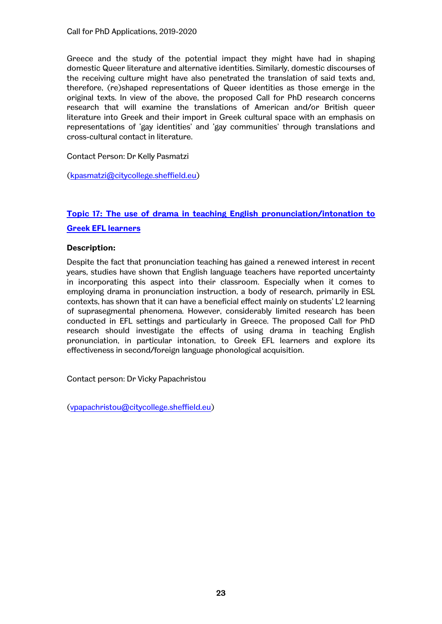Greece and the study of the potential impact they might have had in shaping domestic Queer literature and alternative identities. Similarly, domestic discourses of the receiving culture might have also penetrated the translation of said texts and, therefore, (re)shaped representations of Queer identities as those emerge in the original texts. In view of the above, the proposed Call for PhD research concerns research that will examine the translations of American and/or British queer literature into Greek and their import in Greek cultural space with an emphasis on representations of 'gay identities' and 'gay communities' through translations and cross-cultural contact in literature.

# Contact Person: Dr Kelly Pasmatzi

[\(kpasmatzi@citycollege.sheffield.eu\)](mailto:kpasmatzi@citycollege.sheffield.eu)

# **Topic 17: The use of drama in teaching English pronunciation/intonation to Greek EFL learners**

# **Description:**

Despite the fact that pronunciation teaching has gained a renewed interest in recent years, studies have shown that English language teachers have reported uncertainty in incorporating this aspect into their classroom. Especially when it comes to employing drama in pronunciation instruction, a body of research, primarily in ESL contexts, has shown that it can have a beneficial effect mainly on students' L2 learning of suprasegmental phenomena. However, considerably limited research has been conducted in EFL settings and particularly in Greece. The proposed Call for PhD research should investigate the effects of using drama in teaching English pronunciation, in particular intonation, to Greek EFL learners and explore its effectiveness in second/foreign language phonological acquisition.

Contact person: Dr Vicky Papachristou

[\(vpapachristou@citycollege.sheffield.eu\)](mailto:vpapachristou@citycollege.sheffield.eu)